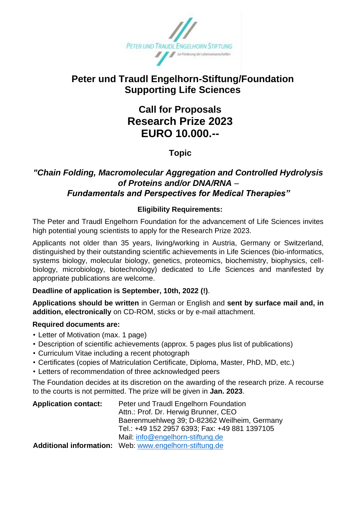

## **Peter und Traudl Engelhorn-Stiftung/Foundation Supporting Life Sciences**

# **Call for Proposals Research Prize 2023 EURO 10.000.--**

**Topic**

### *"Chain Folding, Macromolecular Aggregation and Controlled Hydrolysis of Proteins and/or DNA/RNA* – *Fundamentals and Perspectives for Medical Therapies"*

#### **Eligibility Requirements:**

The Peter and Traudl Engelhorn Foundation for the advancement of Life Sciences invites high potential young scientists to apply for the Research Prize 2023.

Applicants not older than 35 years, living/working in Austria, Germany or Switzerland, distinguished by their outstanding scientific achievements in Life Sciences (bio-informatics, systems biology, molecular biology, genetics, proteomics, biochemistry, biophysics, cellbiology, microbiology, biotechnology) dedicated to Life Sciences and manifested by appropriate publications are welcome.

#### **Deadline of application is September, 10th, 2022 (!)**.

**Applications should be written** in German or English and **sent by surface mail and, in addition, electronically** on CD-ROM, sticks or by e-mail attachment.

#### **Required documents are:**

- Letter of Motivation (max. 1 page)
- Description of scientific achievements (approx. 5 pages plus list of publications)
- Curriculum Vitae including a recent photograph
- Certificates (copies of Matriculation Certificate, Diploma, Master, PhD, MD, etc.)
- Letters of recommendation of three acknowledged peers

The Foundation decides at its discretion on the awarding of the research prize. A recourse to the courts is not permitted. The prize will be given in **Jan. 2023**.

| <b>Application contact:</b> | Peter und Traudl Engelhorn Foundation                  |
|-----------------------------|--------------------------------------------------------|
|                             | Attn.: Prof. Dr. Herwig Brunner, CEO                   |
|                             | Baerenmuehlweg 39; D-82362 Weilheim, Germany           |
|                             | Tel.: +49 152 2957 6393; Fax: +49 881 1397105          |
|                             | Mail: info@engelhorn-stiftung.de                       |
|                             | Additional information: Web: www.engelhorn-stiftung.de |